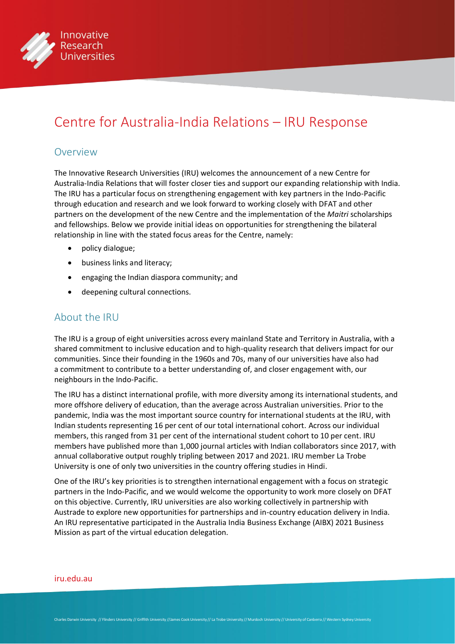

# Centre for Australia-India Relations – IRU Response

#### Overview

The Innovative Research Universities (IRU) welcomes the announcement of a new Centre for Australia-India Relations that will foster closer ties and support our expanding relationship with India. The IRU has a particular focus on strengthening engagement with key partners in the Indo-Pacific through education and research and we look forward to working closely with DFAT and other partners on the development of the new Centre and the implementation of the *Maitri* scholarships and fellowships. Below we provide initial ideas on opportunities for strengthening the bilateral relationship in line with the stated focus areas for the Centre, namely:

- policy dialogue;
- business links and literacy;
- engaging the Indian diaspora community; and
- deepening cultural connections.

### About the IRU

The IRU is a group of eight universities across every mainland State and Territory in Australia, with a shared commitment to inclusive education and to high-quality research that delivers impact for our communities. Since their founding in the 1960s and 70s, many of our universities have also had a commitment to contribute to a better understanding of, and closer engagement with, our neighbours in the Indo-Pacific.

The IRU has a distinct international profile, with more diversity among its international students, and more offshore delivery of education, than the average across Australian universities. Prior to the pandemic, India was the most important source country for international students at the IRU, with Indian students representing 16 per cent of our total international cohort. Across our individual members, this ranged from 31 per cent of the international student cohort to 10 per cent. IRU members have published more than 1,000 journal articles with Indian collaborators since 2017, with annual collaborative output roughly tripling between 2017 and 2021. IRU member La Trobe University is one of only two universities in the country offering studies in Hindi.

One of the IRU's key priorities is to strengthen international engagement with a focus on strategic partners in the Indo-Pacific, and we would welcome the opportunity to work more closely on DFAT on this objective. Currently, IRU universities are also working collectively in partnership with Austrade to explore new opportunities for partnerships and in-country education delivery in India. An IRU representative participated in the Australia India Business Exchange (AIBX) 2021 Business Mission as part of the virtual education delegation.

#### [iru.edu.au](http://iru.edu.au)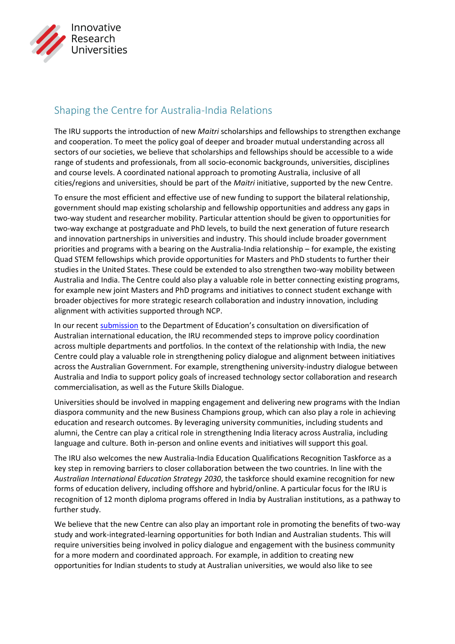

## Shaping the Centre for Australia-India Relations

The IRU supports the introduction of new *Maitri* scholarships and fellowships to strengthen exchange and cooperation. To meet the policy goal of deeper and broader mutual understanding across all sectors of our societies, we believe that scholarships and fellowships should be accessible to a wide range of students and professionals, from all socio-economic backgrounds, universities, disciplines and course levels. A coordinated national approach to promoting Australia, inclusive of all cities/regions and universities, should be part of the *Maitri* initiative, supported by the new Centre.

To ensure the most efficient and effective use of new funding to support the bilateral relationship, government should map existing scholarship and fellowship opportunities and address any gaps in two-way student and researcher mobility. Particular attention should be given to opportunities for two-way exchange at postgraduate and PhD levels, to build the next generation of future research and innovation partnerships in universities and industry. This should include broader government priorities and programs with a bearing on the Australia-India relationship – for example, the existing Quad STEM fellowships which provide opportunities for Masters and PhD students to further their studies in the United States. These could be extended to also strengthen two-way mobility between Australia and India. The Centre could also play a valuable role in better connecting existing programs, for example new joint Masters and PhD programs and initiatives to connect student exchange with broader objectives for more strategic research collaboration and industry innovation, including alignment with activities supported through NCP.

In our recent [submission](https://www.iru.edu.au/policy_submissions/international-student-diversity-at-australian-universities-iru-response/) to the Department of Education's consultation on diversification of Australian international education, the IRU recommended steps to improve policy coordination across multiple departments and portfolios. In the context of the relationship with India, the new Centre could play a valuable role in strengthening policy dialogue and alignment between initiatives across the Australian Government. For example, strengthening university-industry dialogue between Australia and India to support policy goals of increased technology sector collaboration and research commercialisation, as well as the Future Skills Dialogue.

Universities should be involved in mapping engagement and delivering new programs with the Indian diaspora community and the new Business Champions group, which can also play a role in achieving education and research outcomes. By leveraging university communities, including students and alumni, the Centre can play a critical role in strengthening India literacy across Australia, including language and culture. Both in-person and online events and initiatives will support this goal.

The IRU also welcomes the new Australia-India Education Qualifications Recognition Taskforce as a key step in removing barriers to closer collaboration between the two countries. In line with the *Australian International Education Strategy 2030*, the taskforce should examine recognition for new forms of education delivery, including offshore and hybrid/online. A particular focus for the IRU is recognition of 12 month diploma programs offered in India by Australian institutions, as a pathway to further study.

We believe that the new Centre can also play an important role in promoting the benefits of two-way study and work-integrated-learning opportunities for both Indian and Australian students. This will require universities being involved in policy dialogue and engagement with the business community for a more modern and coordinated approach. For example, in addition to creating new opportunities for Indian students to study at Australian universities, we would also like to see